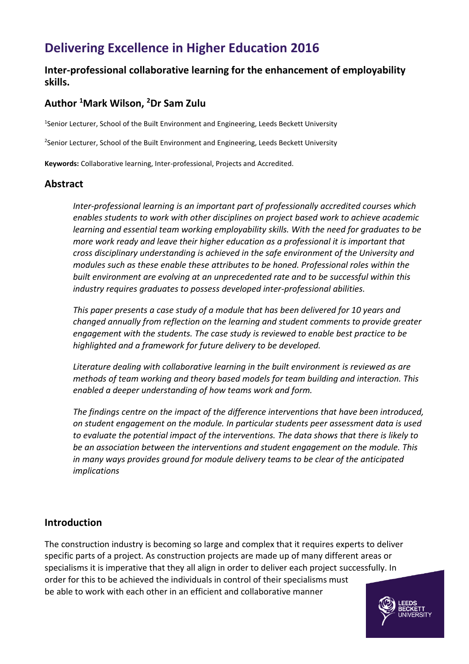# **Delivering Excellence in Higher Education 2016**

## **Inter-professional collaborative learning for the enhancement of employability skills.**

# **Author <sup>1</sup>Mark Wilson, <sup>2</sup>Dr Sam Zulu**

1 Senior Lecturer, School of the Built Environment and Engineering, Leeds Beckett University

<sup>2</sup>Senior Lecturer, School of the Built Environment and Engineering, Leeds Beckett University

**Keywords:** Collaborative learning, Inter-professional, Projects and Accredited.

## **Abstract**

*Inter-professional learning is an important part of professionally accredited courses which enables students to work with other disciplines on project based work to achieve academic learning and essential team working employability skills. With the need for graduates to be more work ready and leave their higher education as a professional it is important that cross disciplinary understanding is achieved in the safe environment of the University and modules such as these enable these attributes to be honed. Professional roles within the built environment are evolving at an unprecedented rate and to be successful within this industry requires graduates to possess developed inter-professional abilities.*

*This paper presents a case study of a module that has been delivered for 10 years and changed annually from reflection on the learning and student comments to provide greater engagement with the students. The case study is reviewed to enable best practice to be highlighted and a framework for future delivery to be developed.* 

*Literature dealing with collaborative learning in the built environment is reviewed as are methods of team working and theory based models for team building and interaction. This enabled a deeper understanding of how teams work and form.*

*The findings centre on the impact of the difference interventions that have been introduced, on student engagement on the module. In particular students peer assessment data is used to evaluate the potential impact of the interventions. The data shows that there is likely to be an association between the interventions and student engagement on the module. This in many ways provides ground for module delivery teams to be clear of the anticipated implications*

## **Introduction**

The construction industry is becoming so large and complex that it requires experts to deliver specific parts of a project. As construction projects are made up of many different areas or specialisms it is imperative that they all align in order to deliver each project successfully. In order for this to be achieved the individuals in control of their specialisms must be able to work with each other in an efficient and collaborative manner

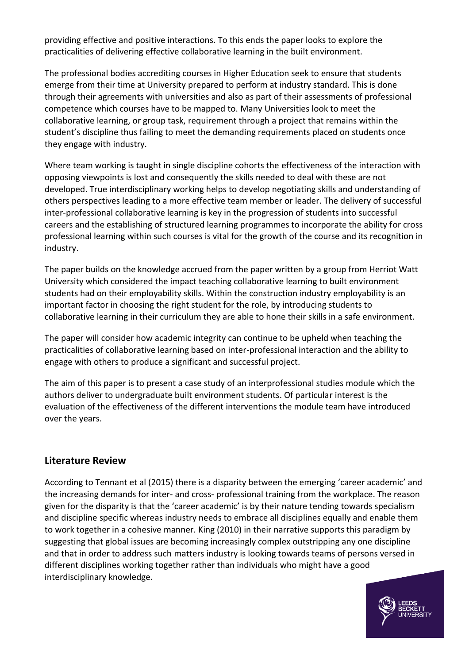providing effective and positive interactions. To this ends the paper looks to explore the practicalities of delivering effective collaborative learning in the built environment.

The professional bodies accrediting courses in Higher Education seek to ensure that students emerge from their time at University prepared to perform at industry standard. This is done through their agreements with universities and also as part of their assessments of professional competence which courses have to be mapped to. Many Universities look to meet the collaborative learning, or group task, requirement through a project that remains within the student's discipline thus failing to meet the demanding requirements placed on students once they engage with industry.

Where team working is taught in single discipline cohorts the effectiveness of the interaction with opposing viewpoints is lost and consequently the skills needed to deal with these are not developed. True interdisciplinary working helps to develop negotiating skills and understanding of others perspectives leading to a more effective team member or leader. The delivery of successful inter-professional collaborative learning is key in the progression of students into successful careers and the establishing of structured learning programmes to incorporate the ability for cross professional learning within such courses is vital for the growth of the course and its recognition in industry.

The paper builds on the knowledge accrued from the paper written by a group from Herriot Watt University which considered the impact teaching collaborative learning to built environment students had on their employability skills. Within the construction industry employability is an important factor in choosing the right student for the role, by introducing students to collaborative learning in their curriculum they are able to hone their skills in a safe environment.

The paper will consider how academic integrity can continue to be upheld when teaching the practicalities of collaborative learning based on inter-professional interaction and the ability to engage with others to produce a significant and successful project.

The aim of this paper is to present a case study of an interprofessional studies module which the authors deliver to undergraduate built environment students. Of particular interest is the evaluation of the effectiveness of the different interventions the module team have introduced over the years.

## **Literature Review**

According to Tennant et al (2015) there is a disparity between the emerging 'career academic' and the increasing demands for inter- and cross- professional training from the workplace. The reason given for the disparity is that the 'career academic' is by their nature tending towards specialism and discipline specific whereas industry needs to embrace all disciplines equally and enable them to work together in a cohesive manner. King (2010) in their narrative supports this paradigm by suggesting that global issues are becoming increasingly complex outstripping any one discipline and that in order to address such matters industry is looking towards teams of persons versed in different disciplines working together rather than individuals who might have a good interdisciplinary knowledge.

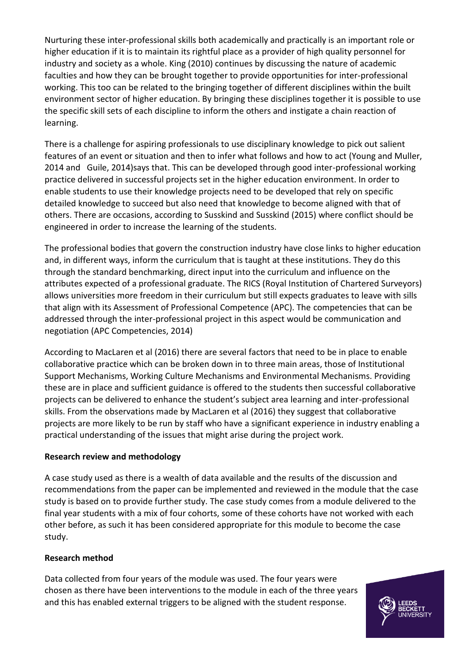Nurturing these inter-professional skills both academically and practically is an important role or higher education if it is to maintain its rightful place as a provider of high quality personnel for industry and society as a whole. King (2010) continues by discussing the nature of academic faculties and how they can be brought together to provide opportunities for inter-professional working. This too can be related to the bringing together of different disciplines within the built environment sector of higher education. By bringing these disciplines together it is possible to use the specific skill sets of each discipline to inform the others and instigate a chain reaction of learning.

There is a challenge for aspiring professionals to use disciplinary knowledge to pick out salient features of an event or situation and then to infer what follows and how to act (Young and Muller, 2014 and Guile, 2014)says that. This can be developed through good inter-professional working practice delivered in successful projects set in the higher education environment. In order to enable students to use their knowledge projects need to be developed that rely on specific detailed knowledge to succeed but also need that knowledge to become aligned with that of others. There are occasions, according to Susskind and Susskind (2015) where conflict should be engineered in order to increase the learning of the students.

The professional bodies that govern the construction industry have close links to higher education and, in different ways, inform the curriculum that is taught at these institutions. They do this through the standard benchmarking, direct input into the curriculum and influence on the attributes expected of a professional graduate. The RICS (Royal Institution of Chartered Surveyors) allows universities more freedom in their curriculum but still expects graduates to leave with sills that align with its Assessment of Professional Competence (APC). The competencies that can be addressed through the inter-professional project in this aspect would be communication and negotiation (APC Competencies, 2014)

According to MacLaren et al (2016) there are several factors that need to be in place to enable collaborative practice which can be broken down in to three main areas, those of Institutional Support Mechanisms, Working Culture Mechanisms and Environmental Mechanisms. Providing these are in place and sufficient guidance is offered to the students then successful collaborative projects can be delivered to enhance the student's subject area learning and inter-professional skills. From the observations made by MacLaren et al (2016) they suggest that collaborative projects are more likely to be run by staff who have a significant experience in industry enabling a practical understanding of the issues that might arise during the project work.

#### **Research review and methodology**

A case study used as there is a wealth of data available and the results of the discussion and recommendations from the paper can be implemented and reviewed in the module that the case study is based on to provide further study. The case study comes from a module delivered to the final year students with a mix of four cohorts, some of these cohorts have not worked with each other before, as such it has been considered appropriate for this module to become the case study.

#### **Research method**

Data collected from four years of the module was used. The four years were chosen as there have been interventions to the module in each of the three years and this has enabled external triggers to be aligned with the student response.

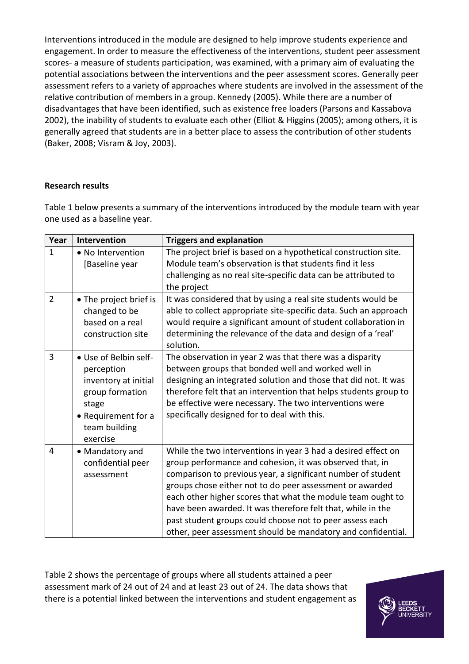Interventions introduced in the module are designed to help improve students experience and engagement. In order to measure the effectiveness of the interventions, student peer assessment scores- a measure of students participation, was examined, with a primary aim of evaluating the potential associations between the interventions and the peer assessment scores. Generally peer assessment refers to a variety of approaches where students are involved in the assessment of the relative contribution of members in a group. Kennedy (2005). While there are a number of disadvantages that have been identified, such as existence free loaders (Parsons and Kassabova 2002), the inability of students to evaluate each other (Elliot & Higgins (2005); among others, it is generally agreed that students are in a better place to assess the contribution of other students (Baker, 2008; Visram & Joy, 2003).

#### **Research results**

Table 1 below presents a summary of the interventions introduced by the module team with year one used as a baseline year.

| Year           | Intervention                                                                                                                                | <b>Triggers and explanation</b>                                                                                                                                                                                                                                                                                                                                                                                                                                                                                 |
|----------------|---------------------------------------------------------------------------------------------------------------------------------------------|-----------------------------------------------------------------------------------------------------------------------------------------------------------------------------------------------------------------------------------------------------------------------------------------------------------------------------------------------------------------------------------------------------------------------------------------------------------------------------------------------------------------|
| $\mathbf{1}$   | • No Intervention<br>[Baseline year                                                                                                         | The project brief is based on a hypothetical construction site.<br>Module team's observation is that students find it less<br>challenging as no real site-specific data can be attributed to<br>the project                                                                                                                                                                                                                                                                                                     |
| $\overline{2}$ | • The project brief is<br>changed to be<br>based on a real<br>construction site                                                             | It was considered that by using a real site students would be<br>able to collect appropriate site-specific data. Such an approach<br>would require a significant amount of student collaboration in<br>determining the relevance of the data and design of a 'real'<br>solution.                                                                                                                                                                                                                                |
| 3              | • Use of Belbin self-<br>perception<br>inventory at initial<br>group formation<br>stage<br>• Requirement for a<br>team building<br>exercise | The observation in year 2 was that there was a disparity<br>between groups that bonded well and worked well in<br>designing an integrated solution and those that did not. It was<br>therefore felt that an intervention that helps students group to<br>be effective were necessary. The two interventions were<br>specifically designed for to deal with this.                                                                                                                                                |
| 4              | • Mandatory and<br>confidential peer<br>assessment                                                                                          | While the two interventions in year 3 had a desired effect on<br>group performance and cohesion, it was observed that, in<br>comparison to previous year, a significant number of student<br>groups chose either not to do peer assessment or awarded<br>each other higher scores that what the module team ought to<br>have been awarded. It was therefore felt that, while in the<br>past student groups could choose not to peer assess each<br>other, peer assessment should be mandatory and confidential. |

Table 2 shows the percentage of groups where all students attained a peer assessment mark of 24 out of 24 and at least 23 out of 24. The data shows that there is a potential linked between the interventions and student engagement as

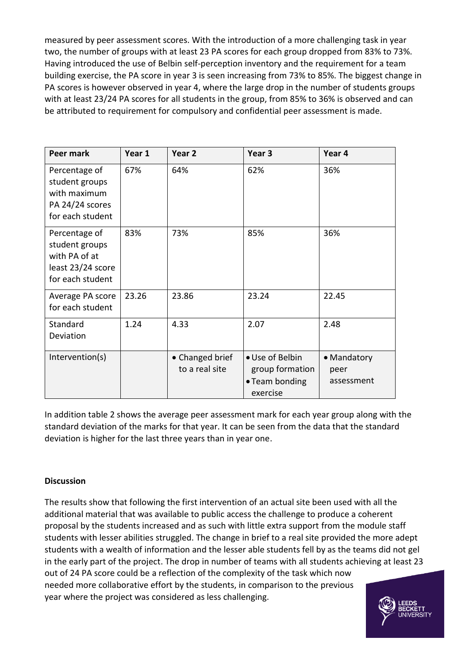measured by peer assessment scores. With the introduction of a more challenging task in year two, the number of groups with at least 23 PA scores for each group dropped from 83% to 73%. Having introduced the use of Belbin self-perception inventory and the requirement for a team building exercise, the PA score in year 3 is seen increasing from 73% to 85%. The biggest change in PA scores is however observed in year 4, where the large drop in the number of students groups with at least 23/24 PA scores for all students in the group, from 85% to 36% is observed and can be attributed to requirement for compulsory and confidential peer assessment is made.

| Peer mark                                                                                 | Year 1 | Year <sub>2</sub>                 | Year 3                                                           | Year 4                            |
|-------------------------------------------------------------------------------------------|--------|-----------------------------------|------------------------------------------------------------------|-----------------------------------|
| Percentage of<br>student groups<br>with maximum<br>PA 24/24 scores<br>for each student    | 67%    | 64%                               | 62%                                                              | 36%                               |
| Percentage of<br>student groups<br>with PA of at<br>least 23/24 score<br>for each student | 83%    | 73%                               | 85%                                                              | 36%                               |
| Average PA score<br>for each student                                                      | 23.26  | 23.86                             | 23.24                                                            | 22.45                             |
| Standard<br>Deviation                                                                     | 1.24   | 4.33                              | 2.07                                                             | 2.48                              |
| Intervention(s)                                                                           |        | • Changed brief<br>to a real site | • Use of Belbin<br>group formation<br>• Team bonding<br>exercise | • Mandatory<br>peer<br>assessment |

In addition table 2 shows the average peer assessment mark for each year group along with the standard deviation of the marks for that year. It can be seen from the data that the standard deviation is higher for the last three years than in year one.

#### **Discussion**

The results show that following the first intervention of an actual site been used with all the additional material that was available to public access the challenge to produce a coherent proposal by the students increased and as such with little extra support from the module staff students with lesser abilities struggled. The change in brief to a real site provided the more adept students with a wealth of information and the lesser able students fell by as the teams did not gel in the early part of the project. The drop in number of teams with all students achieving at least 23 out of 24 PA score could be a reflection of the complexity of the task which now needed more collaborative effort by the students, in comparison to the previous year where the project was considered as less challenging.

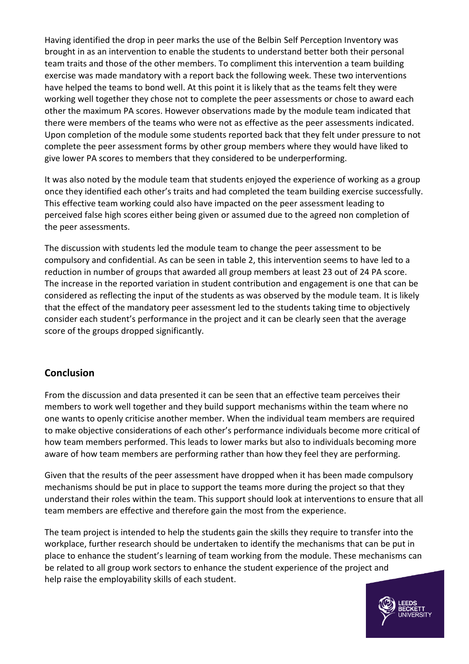Having identified the drop in peer marks the use of the Belbin Self Perception Inventory was brought in as an intervention to enable the students to understand better both their personal team traits and those of the other members. To compliment this intervention a team building exercise was made mandatory with a report back the following week. These two interventions have helped the teams to bond well. At this point it is likely that as the teams felt they were working well together they chose not to complete the peer assessments or chose to award each other the maximum PA scores. However observations made by the module team indicated that there were members of the teams who were not as effective as the peer assessments indicated. Upon completion of the module some students reported back that they felt under pressure to not complete the peer assessment forms by other group members where they would have liked to give lower PA scores to members that they considered to be underperforming.

It was also noted by the module team that students enjoyed the experience of working as a group once they identified each other's traits and had completed the team building exercise successfully. This effective team working could also have impacted on the peer assessment leading to perceived false high scores either being given or assumed due to the agreed non completion of the peer assessments.

The discussion with students led the module team to change the peer assessment to be compulsory and confidential. As can be seen in table 2, this intervention seems to have led to a reduction in number of groups that awarded all group members at least 23 out of 24 PA score. The increase in the reported variation in student contribution and engagement is one that can be considered as reflecting the input of the students as was observed by the module team. It is likely that the effect of the mandatory peer assessment led to the students taking time to objectively consider each student's performance in the project and it can be clearly seen that the average score of the groups dropped significantly.

## **Conclusion**

From the discussion and data presented it can be seen that an effective team perceives their members to work well together and they build support mechanisms within the team where no one wants to openly criticise another member. When the individual team members are required to make objective considerations of each other's performance individuals become more critical of how team members performed. This leads to lower marks but also to individuals becoming more aware of how team members are performing rather than how they feel they are performing.

Given that the results of the peer assessment have dropped when it has been made compulsory mechanisms should be put in place to support the teams more during the project so that they understand their roles within the team. This support should look at interventions to ensure that all team members are effective and therefore gain the most from the experience.

The team project is intended to help the students gain the skills they require to transfer into the workplace, further research should be undertaken to identify the mechanisms that can be put in place to enhance the student's learning of team working from the module. These mechanisms can be related to all group work sectors to enhance the student experience of the project and help raise the employability skills of each student.